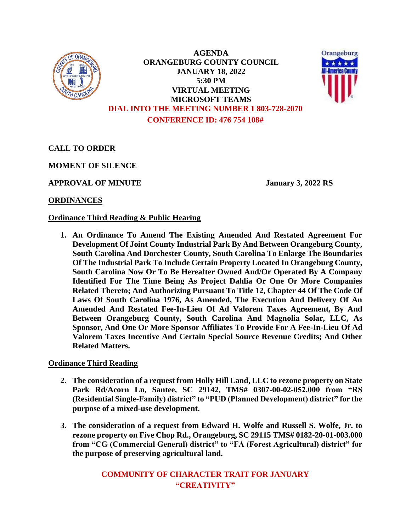

**AGENDA ORANGEBURG COUNTY COUNCIL JANUARY 18, 2022 5:30 PM VIRTUAL MEETING MICROSOFT TEAMS DIAL INTO THE MEETING NUMBER 1 803-728-2070 CONFERENCE ID: 476 754 108#**



**CALL TO ORDER**

**MOMENT OF SILENCE**

**APPROVAL OF MINUTE January 3, 2022 RS**

# **ORDINANCES**

# **Ordinance Third Reading & Public Hearing**

**1. An Ordinance To Amend The Existing Amended And Restated Agreement For Development Of Joint County Industrial Park By And Between Orangeburg County, South Carolina And Dorchester County, South Carolina To Enlarge The Boundaries Of The Industrial Park To Include Certain Property Located In Orangeburg County, South Carolina Now Or To Be Hereafter Owned And/Or Operated By A Company Identified For The Time Being As Project Dahlia Or One Or More Companies Related Thereto; And Authorizing Pursuant To Title 12, Chapter 44 Of The Code Of Laws Of South Carolina 1976, As Amended, The Execution And Delivery Of An Amended And Restated Fee-In-Lieu Of Ad Valorem Taxes Agreement, By And Between Orangeburg County, South Carolina And Magnolia Solar, LLC, As Sponsor, And One Or More Sponsor Affiliates To Provide For A Fee-In-Lieu Of Ad Valorem Taxes Incentive And Certain Special Source Revenue Credits; And Other Related Matters.** 

**Ordinance Third Reading**

- **2. The consideration of a request from Holly Hill Land, LLC to rezone property on State Park Rd/Acorn Ln, Santee, SC 29142, TMS# 0307-00-02-052.000 from "RS (Residential Single-Family) district" to "PUD (Planned Development) district" for the purpose of a mixed-use development.**
- **3. The consideration of a request from Edward H. Wolfe and Russell S. Wolfe, Jr. to rezone property on Five Chop Rd., Orangeburg, SC 29115 TMS# 0182-20-01-003.000 from "CG (Commercial General) district" to "FA (Forest Agricultural) district" for the purpose of preserving agricultural land.**

**COMMUNITY OF CHARACTER TRAIT FOR JANUARY "CREATIVITY"**